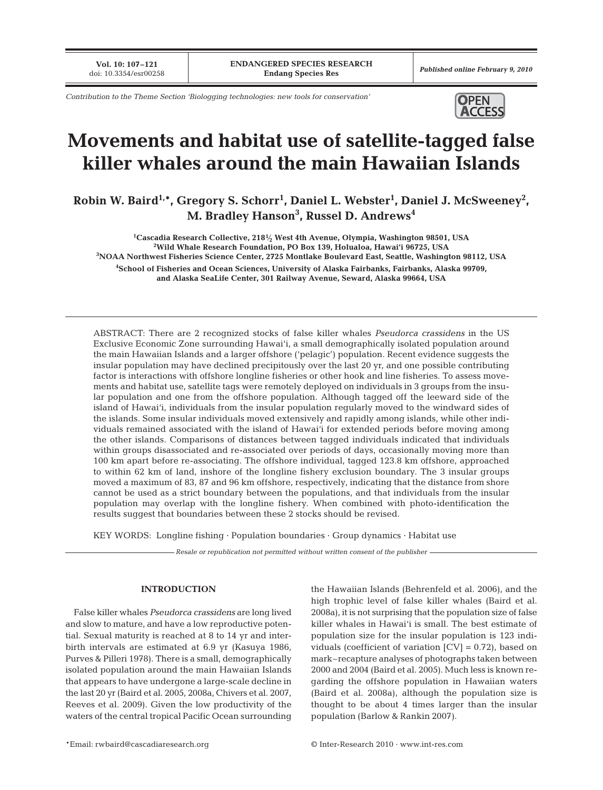**Vol. 10: 107–121**<br>doi: 10.3354/esr00258

*Contribution to the Theme Section 'Biologging technologies: new tools for conservation'* **OPEN** 



# **Movements and habitat use of satellite-tagged false killer whales around the main Hawaiian Islands**

Robin W. Baird<sup>1,\*</sup>, Gregory S. Schorr<sup>1</sup>, Daniel L. Webster<sup>1</sup>, Daniel J. McSweeney<sup>2</sup>, **M. Bradley Hanson3 , Russel D. Andrews4**

**1 Cascadia Research Collective, 2181⁄ <sup>2</sup> West 4th Avenue, Olympia, Washington 98501, USA <sup>2</sup> Wild Whale Research Foundation, PO Box 139, Holualoa, Hawai'i 96725, USA 3 NOAA Northwest Fisheries Science Center, 2725 Montlake Boulevard East, Seattle, Washington 98112, USA 4 School of Fisheries and Ocean Sciences, University of Alaska Fairbanks, Fairbanks, Alaska 99709, and Alaska SeaLife Center, 301 Railway Avenue, Seward, Alaska 99664, USA**

ABSTRACT: There are 2 recognized stocks of false killer whales *Pseudorca crassidens* in the US Exclusive Economic Zone surrounding Hawai'i, a small demographically isolated population around the main Hawaiian Islands and a larger offshore ('pelagic') population. Recent evidence suggests the insular population may have declined precipitously over the last 20 yr, and one possible contributing factor is interactions with offshore longline fisheries or other hook and line fisheries. To assess movements and habitat use, satellite tags were remotely deployed on individuals in 3 groups from the insular population and one from the offshore population. Although tagged off the leeward side of the island of Hawai'i, individuals from the insular population regularly moved to the windward sides of the islands. Some insular individuals moved extensively and rapidly among islands, while other individuals remained associated with the island of Hawai'i for extended periods before moving among the other islands. Comparisons of distances between tagged individuals indicated that individuals within groups disassociated and re-associated over periods of days, occasionally moving more than 100 km apart before re-associating. The offshore individual, tagged 123.8 km offshore, approached to within 62 km of land, inshore of the longline fishery exclusion boundary. The 3 insular groups moved a maximum of 83, 87 and 96 km offshore, respectively, indicating that the distance from shore cannot be used as a strict boundary between the populations, and that individuals from the insular population may overlap with the longline fishery. When combined with photo-identification the results suggest that boundaries between these 2 stocks should be revised.

KEY WORDS: Longline fishing · Population boundaries · Group dynamics · Habitat use

*Resale or republication not permitted without written consent of the publisher*

## **INTRODUCTION**

False killer whales *Pseudorca crassidens* are long lived and slow to mature, and have a low reproductive potential. Sexual maturity is reached at 8 to 14 yr and interbirth intervals are estimated at 6.9 yr (Kasuya 1986, Purves & Pilleri 1978). There is a small, demographically isolated population around the main Hawaiian Islands that appears to have undergone a large-scale decline in the last 20 yr (Baird et al. 2005, 2008a, Chivers et al. 2007, Reeves et al. 2009). Given the low productivity of the waters of the central tropical Pacific Ocean surrounding the Hawaiian Islands (Behrenfeld et al. 2006), and the high trophic level of false killer whales (Baird et al. 2008a), it is not surprising that the population size of false killer whales in Hawai'i is small. The best estimate of population size for the insular population is 123 individuals (coefficient of variation  $|CV| = 0.72$ ), based on mark–recapture analyses of photographs taken between 2000 and 2004 (Baird et al. 2005). Much less is known regarding the offshore population in Hawaiian waters (Baird et al. 2008a), although the population size is thought to be about 4 times larger than the insular population (Barlow & Rankin 2007).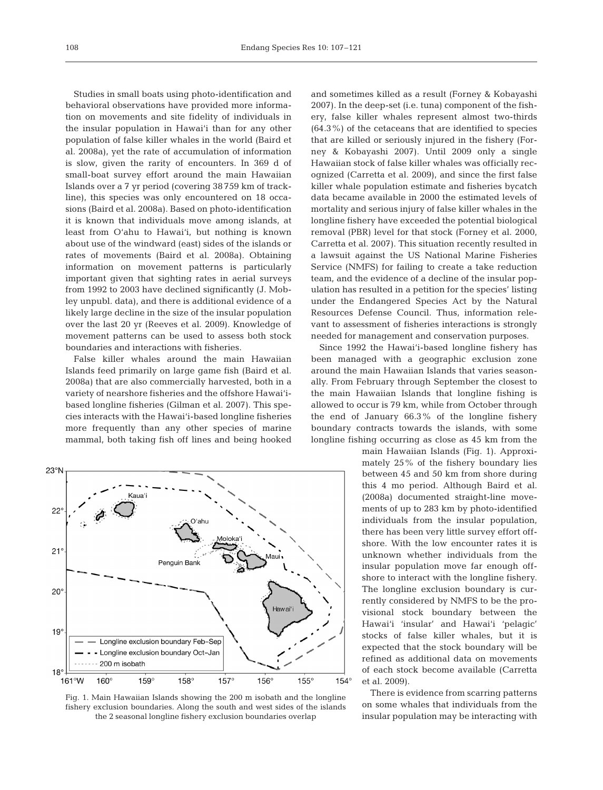Studies in small boats using photo-identification and behavioral observations have provided more information on movements and site fidelity of individuals in the insular population in Hawai'i than for any other population of false killer whales in the world (Baird et al. 2008a), yet the rate of accumulation of information is slow, given the rarity of encounters. In 369 d of small-boat survey effort around the main Hawaiian Islands over a 7 yr period (covering 38 759 km of trackline), this species was only encountered on 18 occasions (Baird et al. 2008a). Based on photo-identification it is known that individuals move among islands, at least from O'ahu to Hawai'i, but nothing is known about use of the windward (east) sides of the islands or rates of movements (Baird et al. 2008a). Obtaining information on movement patterns is particularly important given that sighting rates in aerial surveys from 1992 to 2003 have declined significantly (J. Mobley unpubl. data), and there is additional evidence of a likely large decline in the size of the insular population over the last 20 yr (Reeves et al. 2009). Knowledge of movement patterns can be used to assess both stock boundaries and interactions with fisheries.

False killer whales around the main Hawaiian Islands feed primarily on large game fish (Baird et al. 2008a) that are also commercially harvested, both in a variety of nearshore fisheries and the offshore Hawai'ibased longline fisheries (Gilman et al. 2007). This species interacts with the Hawai'i-based longline fisheries more frequently than any other species of marine mammal, both taking fish off lines and being hooked



Fig. 1. Main Hawaiian Islands showing the 200 m isobath and the longline fishery exclusion boundaries. Along the south and west sides of the islands the 2 seasonal longline fishery exclusion boundaries overlap

and sometimes killed as a result (Forney & Kobayashi 2007). In the deep-set (i.e. tuna) component of the fishery, false killer whales represent almost two-thirds (64.3%) of the cetaceans that are identified to species that are killed or seriously injured in the fishery (Forney & Kobayashi 2007). Until 2009 only a single Hawaiian stock of false killer whales was officially recognized (Carretta et al. 2009), and since the first false killer whale population estimate and fisheries bycatch data became available in 2000 the estimated levels of mortality and serious injury of false killer whales in the longline fishery have exceeded the potential biological removal (PBR) level for that stock (Forney et al. 2000, Carretta et al. 2007). This situation recently resulted in a lawsuit against the US National Marine Fisheries Service (NMFS) for failing to create a take reduction team, and the evidence of a decline of the insular population has resulted in a petition for the species' listing under the Endangered Species Act by the Natural Resources Defense Council. Thus, information relevant to assessment of fisheries interactions is strongly needed for management and conservation purposes.

Since 1992 the Hawai'i-based longline fishery has been managed with a geographic exclusion zone around the main Hawaiian Islands that varies seasonally. From February through September the closest to the main Hawaiian Islands that longline fishing is allowed to occur is 79 km, while from October through the end of January 66.3% of the longline fishery boundary contracts towards the islands, with some longline fishing occurring as close as 45 km from the

> main Hawaiian Islands (Fig. 1). Approximately 25% of the fishery boundary lies between 45 and 50 km from shore during this 4 mo period. Although Baird et al. (2008a) documented straight-line movements of up to 283 km by photo-identified individuals from the insular population, there has been very little survey effort offshore. With the low encounter rates it is unknown whether individuals from the insular population move far enough offshore to interact with the longline fishery. The longline exclusion boundary is currently considered by NMFS to be the provisional stock boundary between the Hawai'i 'insular' and Hawai'i 'pelagic' stocks of false killer whales, but it is expected that the stock boundary will be refined as additional data on movements of each stock become available (Carretta et al. 2009).

> There is evidence from scarring patterns on some whales that individuals from the insular population may be interacting with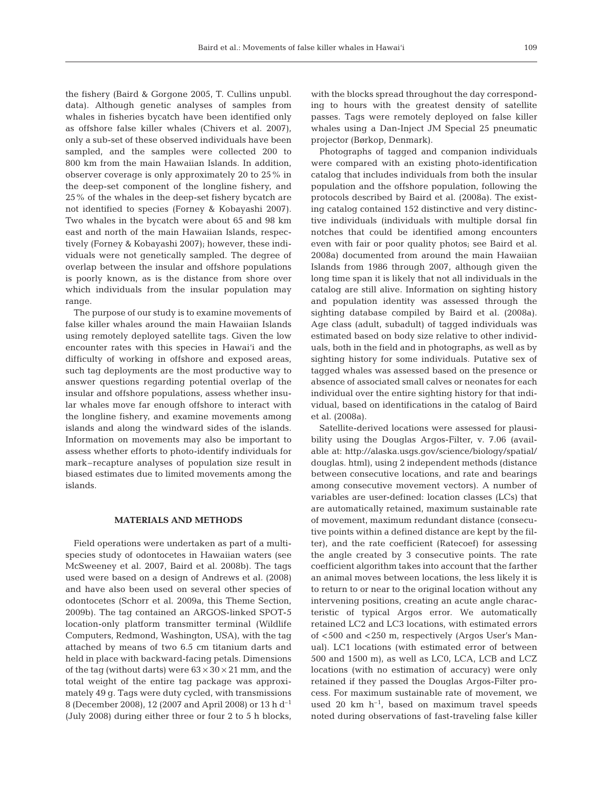the fishery (Baird & Gorgone 2005, T. Cullins unpubl. data). Although genetic analyses of samples from whales in fisheries bycatch have been identified only as offshore false killer whales (Chivers et al. 2007), only a sub-set of these observed individuals have been sampled, and the samples were collected 200 to 800 km from the main Hawaiian Islands. In addition, observer coverage is only approximately 20 to 25% in the deep-set component of the longline fishery, and 25% of the whales in the deep-set fishery bycatch are not identified to species (Forney & Kobayashi 2007). Two whales in the bycatch were about 65 and 98 km east and north of the main Hawaiian Islands, respectively (Forney & Kobayashi 2007); however, these individuals were not genetically sampled. The degree of overlap between the insular and offshore populations is poorly known, as is the distance from shore over which individuals from the insular population may range.

The purpose of our study is to examine movements of false killer whales around the main Hawaiian Islands using remotely deployed satellite tags. Given the low encounter rates with this species in Hawai'i and the difficulty of working in offshore and exposed areas, such tag deployments are the most productive way to answer questions regarding potential overlap of the insular and offshore populations, assess whether insular whales move far enough offshore to interact with the longline fishery, and examine movements among islands and along the windward sides of the islands. Information on movements may also be important to assess whether efforts to photo-identify individuals for mark–recapture analyses of population size result in biased estimates due to limited movements among the islands.

#### **MATERIALS AND METHODS**

Field operations were undertaken as part of a multispecies study of odontocetes in Hawaiian waters (see McSweeney et al. 2007, Baird et al. 2008b). The tags used were based on a design of Andrews et al. (2008) and have also been used on several other species of odontocetes (Schorr et al. 2009a, this Theme Section, 2009b). The tag contained an ARGOS-linked SPOT-5 location-only platform transmitter terminal (Wildlife Computers, Redmond, Washington, USA), with the tag attached by means of two 6.5 cm titanium darts and held in place with backward-facing petals. Dimensions of the tag (without darts) were  $63 \times 30 \times 21$  mm, and the total weight of the entire tag package was approximately 49 g. Tags were duty cycled, with transmissions 8 (December 2008), 12 (2007 and April 2008) or 13 h d–1 (July 2008) during either three or four 2 to 5 h blocks, with the blocks spread throughout the day corresponding to hours with the greatest density of satellite passes. Tags were remotely deployed on false killer whales using a Dan-Inject JM Special 25 pneumatic projector (Børkop, Denmark).

Photographs of tagged and companion individuals were compared with an existing photo-identification catalog that includes individuals from both the insular population and the offshore population, following the protocols described by Baird et al. (2008a). The existing catalog contained 152 distinctive and very distinctive individuals (individuals with multiple dorsal fin notches that could be identified among encounters even with fair or poor quality photos; see Baird et al. 2008a) documented from around the main Hawaiian Islands from 1986 through 2007, although given the long time span it is likely that not all individuals in the catalog are still alive. Information on sighting history and population identity was assessed through the sighting database compiled by Baird et al. (2008a). Age class (adult, subadult) of tagged individuals was estimated based on body size relative to other individuals, both in the field and in photographs, as well as by sighting history for some individuals. Putative sex of tagged whales was assessed based on the presence or absence of associated small calves or neonates for each individual over the entire sighting history for that individual, based on identifications in the catalog of Baird et al. (2008a).

Satellite-derived locations were assessed for plausibility using the Douglas Argos-Filter, v. 7.06 (available at: http://alaska.usgs.gov/science/biology/spatial/ douglas. html), using 2 independent methods (distance between consecutive locations, and rate and bearings among consecutive movement vectors). A number of variables are user-defined: location classes (LCs) that are automatically retained, maximum sustainable rate of movement, maximum redundant distance (consecutive points within a defined distance are kept by the filter), and the rate coefficient (Ratecoef) for assessing the angle created by 3 consecutive points. The rate coefficient algorithm takes into account that the farther an animal moves between locations, the less likely it is to return to or near to the original location without any intervening positions, creating an acute angle characteristic of typical Argos error. We automatically retained LC2 and LC3 locations, with estimated errors of <500 and <250 m, respectively (Argos User's Manual). LC1 locations (with estimated error of between 500 and 1500 m), as well as LC0, LCA, LCB and LCZ locations (with no estimation of accuracy) were only retained if they passed the Douglas Argos-Filter process. For maximum sustainable rate of movement, we used 20 km  $h^{-1}$ , based on maximum travel speeds noted during observations of fast-traveling false killer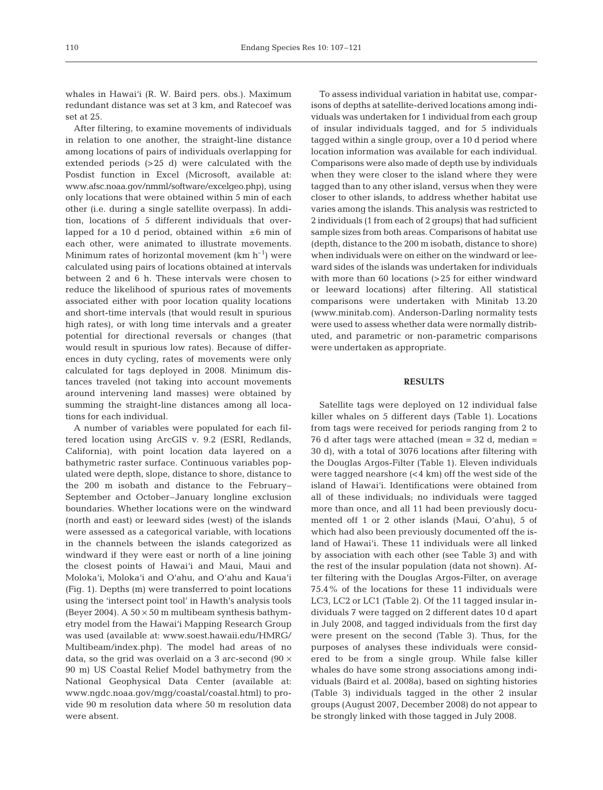whales in Hawai'i (R. W. Baird pers. obs.). Maximum redundant distance was set at 3 km, and Ratecoef was set at 25.

After filtering, to examine movements of individuals in relation to one another, the straight-line distance among locations of pairs of individuals overlapping for extended periods (>25 d) were calculated with the Posdist function in Excel (Microsoft, available at: www.afsc.noaa.gov/nmml/software/excelgeo.php), using only locations that were obtained within 5 min of each other (i.e. during a single satellite overpass). In addition, locations of 5 different individuals that overlapped for a 10 d period, obtained within  $\pm 6$  min of each other, were animated to illustrate movements. Minimum rates of horizontal movement  $(km h^{-1})$  were calculated using pairs of locations obtained at intervals between 2 and 6 h. These intervals were chosen to reduce the likelihood of spurious rates of movements associated either with poor location quality locations and short-time intervals (that would result in spurious high rates), or with long time intervals and a greater potential for directional reversals or changes (that would result in spurious low rates). Because of differences in duty cycling, rates of movements were only calculated for tags deployed in 2008. Minimum distances traveled (not taking into account movements around intervening land masses) were obtained by summing the straight-line distances among all locations for each individual.

A number of variables were populated for each filtered location using ArcGIS v. 9.2 (ESRI, Redlands, California), with point location data layered on a bathymetric raster surface. Continuous variables populated were depth, slope, distance to shore, distance to the 200 m isobath and distance to the February– September and October–January longline exclusion boundaries. Whether locations were on the windward (north and east) or leeward sides (west) of the islands were assessed as a categorical variable, with locations in the channels between the islands categorized as windward if they were east or north of a line joining the closest points of Hawai'i and Maui, Maui and Moloka'i, Moloka'i and O'ahu, and O'ahu and Kaua'i (Fig. 1). Depths (m) were transferred to point locations using the 'intersect point tool' in Hawth's analysis tools (Beyer 2004). A  $50 \times 50$  m multibeam synthesis bathymetry model from the Hawai'i Mapping Research Group was used (available at: www.soest.hawaii.edu/HMRG/ Multibeam/index.php). The model had areas of no data, so the grid was overlaid on a 3 arc-second (90  $\times$ 90 m) US Coastal Relief Model bathymetry from the National Geophysical Data Center (available at: www.ngdc.noaa.gov/mgg/coastal/coastal.html) to provide 90 m resolution data where 50 m resolution data were absent.

To assess individual variation in habitat use, comparisons of depths at satellite-derived locations among individuals was undertaken for 1 individual from each group of insular individuals tagged, and for 5 individuals tagged within a single group, over a 10 d period where location information was available for each individual. Comparisons were also made of depth use by individuals when they were closer to the island where they were tagged than to any other island, versus when they were closer to other islands, to address whether habitat use varies among the islands. This analysis was restricted to 2 individuals (1 from each of 2 groups) that had sufficient sample sizes from both areas. Comparisons of habitat use (depth, distance to the 200 m isobath, distance to shore) when individuals were on either on the windward or leeward sides of the islands was undertaken for individuals with more than 60 locations (>25 for either windward or leeward locations) after filtering. All statistical comparisons were undertaken with Minitab 13.20 (www.minitab.com). Anderson-Darling normality tests were used to assess whether data were normally distributed, and parametric or non-parametric comparisons were undertaken as appropriate.

### **RESULTS**

Satellite tags were deployed on 12 individual false killer whales on 5 different days (Table 1). Locations from tags were received for periods ranging from 2 to 76 d after tags were attached (mean = 32 d, median = 30 d), with a total of 3076 locations after filtering with the Douglas Argos-Filter (Table 1). Eleven individuals were tagged nearshore  $\left($  < 4 km) off the west side of the island of Hawai'i. Identifications were obtained from all of these individuals; no individuals were tagged more than once, and all 11 had been previously documented off 1 or 2 other islands (Maui, O'ahu), 5 of which had also been previously documented off the island of Hawai'i. These 11 individuals were all linked by association with each other (see Table 3) and with the rest of the insular population (data not shown). After filtering with the Douglas Argos-Filter, on average 75.4% of the locations for these 11 individuals were LC3, LC2 or LC1 (Table 2). Of the 11 tagged insular individuals 7 were tagged on 2 different dates 10 d apart in July 2008, and tagged individuals from the first day were present on the second (Table 3). Thus, for the purposes of analyses these individuals were considered to be from a single group. While false killer whales do have some strong associations among individuals (Baird et al. 2008a), based on sighting histories (Table 3) individuals tagged in the other 2 insular groups (August 2007, December 2008) do not appear to be strongly linked with those tagged in July 2008.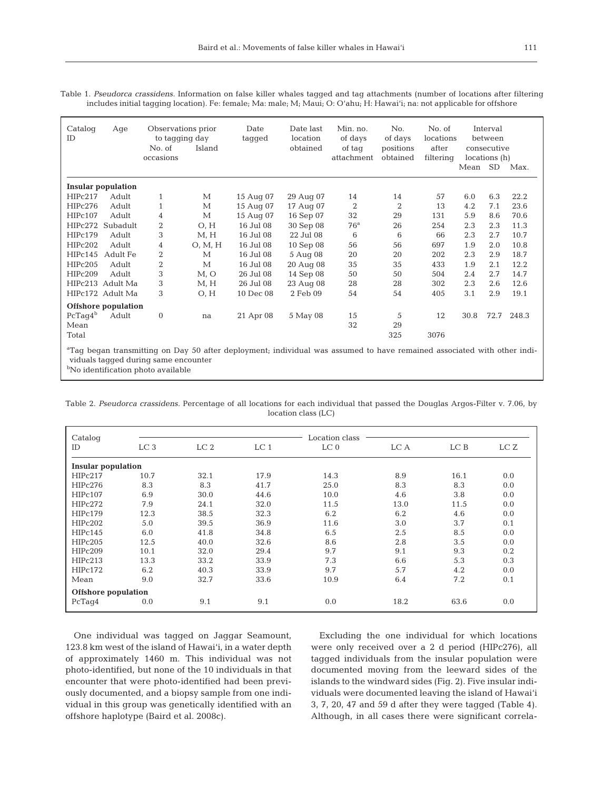Table 1. *Pseudorca crassidens.* Information on false killer whales tagged and tag attachments (number of locations after filtering includes initial tagging location). Fe: female; Ma: male; M; Maui; O: O'ahu; H: Hawai'i; na: not applicable for offshore

| Catalog<br>ID | Age                       | Observations prior<br>to tagging day<br>No. of<br>occasions | Island           | Date<br>tagged | Date last<br>location<br>obtained | Min. no.<br>of days<br>of tag<br>attachment | No.<br>of days<br>positions<br>obtained | No. of<br>locations<br>after<br>filtering | Mean              | Interval<br>between<br>consecutive<br>locations (h)<br>SD. | Max.  |
|---------------|---------------------------|-------------------------------------------------------------|------------------|----------------|-----------------------------------|---------------------------------------------|-----------------------------------------|-------------------------------------------|-------------------|------------------------------------------------------------|-------|
|               | <b>Insular population</b> |                                                             |                  |                |                                   |                                             |                                         |                                           |                   |                                                            |       |
| HIPc217       | Adult                     | $\mathbf{1}$                                                | М                | 15 Aug 07      | 29 Aug 07                         | 14                                          | 14                                      | 57                                        | 6.0               | 6.3                                                        | 22.2  |
| HIPc276       | Adult                     | $\mathbf{1}$                                                | $\mathbf{M}$     | 15 Aug 07      | 17 Aug 07                         | 2                                           | $\overline{2}$                          | 13                                        | 4.2               | 7.1                                                        | 23.6  |
| HIPc107       | Adult                     | 4                                                           | М                | 15 Aug 07      | 16 Sep 07                         | 32                                          | 29                                      | 131                                       | 5.9               | 8.6                                                        | 70.6  |
| HIPc272       | Subadult                  | 2                                                           | O, H             | 16 Jul 08      | 30 Sep 08                         | 76 <sup>a</sup>                             | 26                                      | 254                                       | 2.3               | 2.3                                                        | 11.3  |
| HIPc179       | Adult                     | 3                                                           | M, H             | 16 Jul 08      | 22 Jul 08                         | 6                                           | 6                                       | 66                                        | 2.3               | 2.7                                                        | 10.7  |
| HIPc202       | Adult                     | 4                                                           | O, M, H          | 16 Jul 08      | 10 Sep 08                         | 56                                          | 56                                      | 697                                       | 1.9               | 2.0                                                        | 10.8  |
| HIPc145       | Adult Fe                  | $\overline{2}$                                              | $\mathbf{M}$     | 16 Jul 08      | 5 Aug 08                          | 20                                          | 20                                      | 202                                       | 2.3               | 2.9                                                        | 18.7  |
| HIPc205       | Adult                     | 2                                                           | $\mathbf{M}$     | 16 Jul 08      | 20 Aug 08                         | 35                                          | 35                                      | 433                                       | 1.9               | 2.1                                                        | 12.2  |
| HIPc209       | Adult                     | 3                                                           | M, O             | 26 Jul 08      | 14 Sep 08                         | 50                                          | 50                                      | 504                                       | 2.4               | 2.7                                                        | 14.7  |
|               | HIPc213 Adult Ma          | 3                                                           | M, H             | 26 Jul 08      | 23 Aug 08                         | 28                                          | 28                                      | 302                                       | 2.3               | 2.6                                                        | 12.6  |
|               | HIPc172 Adult Ma          | 3                                                           | O, H             | 10 Dec 08      | 2 Feb 09                          | 54                                          | 54                                      | 405                                       | 3.1               | 2.9                                                        | 19.1  |
|               | Offshore population       |                                                             |                  |                |                                   |                                             |                                         |                                           |                   |                                                            |       |
| $PcTag4^b$    | Adult                     | $\mathbf{0}$                                                | na               | 21 Apr 08      | 5 May 08                          | 15                                          | 5                                       | 12                                        | 30.8              | 72.7                                                       | 248.3 |
| Mean          |                           |                                                             |                  |                |                                   | 32                                          | 29                                      |                                           |                   |                                                            |       |
| Total         |                           |                                                             |                  |                |                                   |                                             | 325                                     | 3076                                      |                   |                                                            |       |
| $2000 - 1$    |                           | $\sim$                                                      | $-\circ$ $\circ$ |                | .                                 | $\cdots$                                    |                                         |                                           | $\cdots$ $\cdots$ |                                                            |       |

a Tag began transmitting on Day 50 after deployment; individual was assumed to have remained associated with other individuals tagged during same encounter

<sup>b</sup>No identification photo available

| Catalog                   |                 |                 |                 | Location class  |      |      |     |
|---------------------------|-----------------|-----------------|-----------------|-----------------|------|------|-----|
| ID                        | LC <sub>3</sub> | LC <sub>2</sub> | LC <sub>1</sub> | LC <sub>0</sub> | LC A | LC B | LCZ |
| <b>Insular population</b> |                 |                 |                 |                 |      |      |     |
| HIPc217                   | 10.7            | 32.1            | 17.9            | 14.3            | 8.9  | 16.1 | 0.0 |
| HIPc276                   | 8.3             | 8.3             | 41.7            | 25.0            | 8.3  | 8.3  | 0.0 |
| HIPc107                   | 6.9             | 30.0            | 44.6            | 10.0            | 4.6  | 3.8  | 0.0 |
| HIPc272                   | 7.9             | 24.1            | 32.0            | 11.5            | 13.0 | 11.5 | 0.0 |
| HIPc179                   | 12.3            | 38.5            | 32.3            | 6.2             | 6.2  | 4.6  | 0.0 |
| HIPc202                   | 5.0             | 39.5            | 36.9            | 11.6            | 3.0  | 3.7  | 0.1 |
| HIPc145                   | 6.0             | 41.8            | 34.8            | 6.5             | 2.5  | 8.5  | 0.0 |
| HIPc205                   | 12.5            | 40.0            | 32.6            | 8.6             | 2.8  | 3.5  | 0.0 |
| HIPc209                   | 10.1            | 32.0            | 29.4            | 9.7             | 9.1  | 9.3  | 0.2 |
| HIPc213                   | 13.3            | 33.2            | 33.9            | 7.3             | 6.6  | 5.3  | 0.3 |
| HIPc172                   | 6.2             | 40.3            | 33.9            | 9.7             | 5.7  | 4.2  | 0.0 |
| Mean                      | 9.0             | 32.7            | 33.6            | 10.9            | 6.4  | 7.2  | 0.1 |
| Offshore population       |                 |                 |                 |                 |      |      |     |
| PcTaq4                    | 0.0             | 9.1             | 9.1             | 0.0             | 18.2 | 63.6 | 0.0 |

Table 2. *Pseudorca crassidens.* Percentage of all locations for each individual that passed the Douglas Argos-Filter v. 7.06, by location class (LC)

One individual was tagged on Jaggar Seamount, 123.8 km west of the island of Hawai'i, in a water depth of approximately 1460 m. This individual was not photo-identified, but none of the 10 individuals in that encounter that were photo-identified had been previously documented, and a biopsy sample from one individual in this group was genetically identified with an offshore haplotype (Baird et al. 2008c).

Excluding the one individual for which locations were only received over a 2 d period (HIPc276), all tagged individuals from the insular population were documented moving from the leeward sides of the islands to the windward sides (Fig. 2). Five insular individuals were documented leaving the island of Hawai'i 3, 7, 20, 47 and 59 d after they were tagged (Table 4). Although, in all cases there were significant correla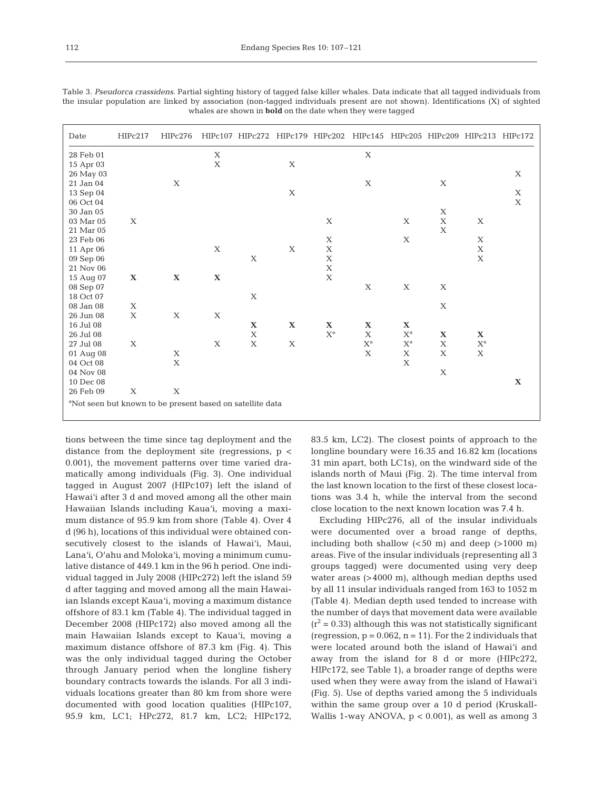112

| Date                                                                  | HIPc217     | HIPc276     |             |             |             |                         | HIPc107 HIPc272 HIPc179 HIPc202 HIPc145 HIPc205 HIPc209 HIPc213 HIPc172 |                         |             |                           |             |
|-----------------------------------------------------------------------|-------------|-------------|-------------|-------------|-------------|-------------------------|-------------------------------------------------------------------------|-------------------------|-------------|---------------------------|-------------|
| 28 Feb 01                                                             |             |             | X           |             |             |                         | X                                                                       |                         |             |                           |             |
| 15 Apr 03                                                             |             |             | X           |             | X           |                         |                                                                         |                         |             |                           |             |
| 26 May 03                                                             |             |             |             |             |             |                         |                                                                         |                         |             |                           | $\mathbf X$ |
| 21 Jan 04                                                             |             | X           |             |             |             |                         | X                                                                       |                         | X           |                           |             |
| 13 Sep 04                                                             |             |             |             |             | X           |                         |                                                                         |                         |             |                           | X           |
| 06 Oct 04                                                             |             |             |             |             |             |                         |                                                                         |                         |             |                           | $\mathbf X$ |
| 30 Jan 05                                                             |             |             |             |             |             |                         |                                                                         |                         | X           |                           |             |
| 03 Mar 05                                                             | X           |             |             |             |             | X                       |                                                                         | $\mathbf X$             | $\mathbf X$ | X                         |             |
| 21 Mar 05                                                             |             |             |             |             |             |                         |                                                                         |                         | $\mathbf X$ |                           |             |
| 23 Feb 06                                                             |             |             |             |             |             | X                       |                                                                         | X                       |             | X                         |             |
| 11 Apr 06                                                             |             |             | X           |             | X           | $\mathbf X$             |                                                                         |                         |             | $\mathbf X$               |             |
| 09 Sep 06                                                             |             |             |             | X           |             | X                       |                                                                         |                         |             | $\mathbf X$               |             |
| 21 Nov 06                                                             |             |             |             |             |             | X                       |                                                                         |                         |             |                           |             |
| 15 Aug 07                                                             | $\mathbf X$ | $\mathbf X$ | $\mathbf X$ |             |             | $\mathbf X$             |                                                                         |                         |             |                           |             |
| 08 Sep 07                                                             |             |             |             |             |             |                         | X                                                                       | X                       | X           |                           |             |
| 18 Oct 07                                                             |             |             |             | X           |             |                         |                                                                         |                         |             |                           |             |
| 08 Jan 08                                                             | X           |             |             |             |             |                         |                                                                         |                         | $\mathbf X$ |                           |             |
| 26 Jun 08                                                             | $\mathbf X$ | X           | X           |             |             |                         |                                                                         |                         |             |                           |             |
| 16 Jul 08                                                             |             |             |             | $\mathbf X$ | $\mathbf X$ | $\mathbf X$             | $\mathbf X$                                                             | $\mathbf X$             |             |                           |             |
| 26 Jul 08                                                             |             |             |             | $\mathbf X$ |             | $\mathbf{X}^{\text{a}}$ | X                                                                       | $\mathbf{X}^\text{a}$   | $\mathbf X$ | X                         |             |
| 27 Jul 08                                                             | X           |             | X           | X           | $\mathbf X$ |                         | $\mathbf{X}^{\text{a}}$                                                 | $\mathbf{X}^{\text{a}}$ | $\mathbf X$ | $\mathbf{X}^{\text{a}}$   |             |
| 01 Aug 08                                                             |             | X           |             |             |             |                         | X                                                                       | X                       | X           | $\boldsymbol{\mathrm{X}}$ |             |
| 04 Oct 08                                                             |             | $\mathbf X$ |             |             |             |                         |                                                                         | X                       |             |                           |             |
| 04 Nov 08                                                             |             |             |             |             |             |                         |                                                                         |                         | X           |                           |             |
| 10 Dec 08                                                             |             |             |             |             |             |                         |                                                                         |                         |             |                           | $\mathbf X$ |
| 26 Feb 09                                                             | X           | X           |             |             |             |                         |                                                                         |                         |             |                           |             |
| <sup>a</sup> Not seen but known to be present based on satellite data |             |             |             |             |             |                         |                                                                         |                         |             |                           |             |

Table 3. *Pseudorca crassidens.* Partial sighting history of tagged false killer whales. Data indicate that all tagged individuals from the insular population are linked by association (non-tagged individuals present are not shown). Identifications (X) of sighted whales are shown in **bold** on the date when they were tagged

tions between the time since tag deployment and the distance from the deployment site (regressions,  $p \lt \theta$ 0.001), the movement patterns over time varied dramatically among individuals (Fig. 3). One individual tagged in August 2007 (HIPc107) left the island of Hawai'i after 3 d and moved among all the other main Hawaiian Islands including Kaua'i, moving a maximum distance of 95.9 km from shore (Table 4). Over 4 d (96 h), locations of this individual were obtained consecutively closest to the islands of Hawai'i, Maui, Lana'i, O'ahu and Moloka'i, moving a minimum cumulative distance of 449.1 km in the 96 h period. One individual tagged in July 2008 (HIPc272) left the island 59 d after tagging and moved among all the main Hawaiian Islands except Kaua'i, moving a maximum distance offshore of 83.1 km (Table 4). The individual tagged in December 2008 (HIPc172) also moved among all the main Hawaiian Islands except to Kaua'i, moving a maximum distance offshore of 87.3 km (Fig. 4). This was the only individual tagged during the October through January period when the longline fishery boundary contracts towards the islands. For all 3 individuals locations greater than 80 km from shore were documented with good location qualities (HIPc107, 95.9 km, LC1; HPc272, 81.7 km, LC2; HIPc172,

83.5 km, LC2). The closest points of approach to the longline boundary were 16.35 and 16.82 km (locations 31 min apart, both LC1s), on the windward side of the islands north of Maui (Fig. 2). The time interval from the last known location to the first of these closest locations was 3.4 h, while the interval from the second close location to the next known location was 7.4 h.

Excluding HIPc276, all of the insular individuals were documented over a broad range of depths, including both shallow  $( $50 \text{ m}$ )$  and deep  $( $1000 \text{ m}$ )$ areas. Five of the insular individuals (representing all 3 groups tagged) were documented using very deep water areas (>4000 m), although median depths used by all 11 insular individuals ranged from 163 to 1052 m (Table 4). Median depth used tended to increase with the number of days that movement data were available  $(r^2 = 0.33)$  although this was not statistically significant (regression,  $p = 0.062$ ,  $n = 11$ ). For the 2 individuals that were located around both the island of Hawai'i and away from the island for 8 d or more (HIPc272, HIPc172, see Table 1), a broader range of depths were used when they were away from the island of Hawai'i (Fig. 5). Use of depths varied among the 5 individuals within the same group over a 10 d period (Kruskall-Wallis 1-way ANOVA,  $p < 0.001$ , as well as among 3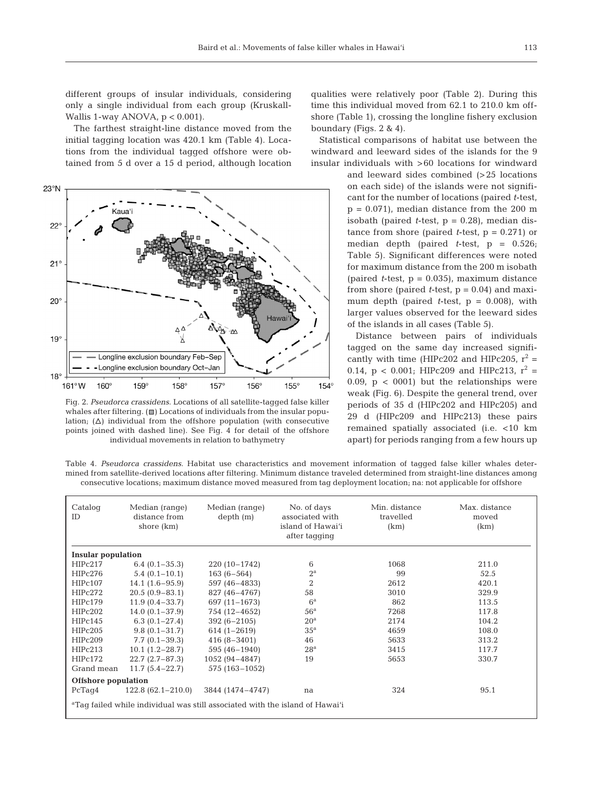different groups of insular individuals, considering only a single individual from each group (Kruskall-Wallis 1-way ANOVA,  $p < 0.001$ ).

The farthest straight-line distance moved from the initial tagging location was 420.1 km (Table 4). Locations from the individual tagged offshore were obtained from 5 d over a 15 d period, although location



Fig. 2. *Pseudorca crassidens.* Locations of all satellite-tagged false killer whales after filtering.  $(\blacksquare)$  Locations of individuals from the insular population;  $(\Delta)$  individual from the offshore population (with consecutive points joined with dashed line). See Fig. 4 for detail of the offshore individual movements in relation to bathymetry

qualities were relatively poor (Table 2). During this time this individual moved from 62.1 to 210.0 km offshore (Table 1), crossing the longline fishery exclusion boundary (Figs. 2 & 4).

Statistical comparisons of habitat use between the windward and leeward sides of the islands for the 9 insular individuals with >60 locations for windward

> and leeward sides combined (>25 locations on each side) of the islands were not significant for the number of locations (paired *t*-test,  $p = 0.071$ , median distance from the 200 m isobath (paired *t*-test,  $p = 0.28$ ), median distance from shore (paired *t*-test,  $p = 0.271$ ) or median depth (paired *t*-test, p = 0.526; Table 5). Significant differences were noted for maximum distance from the 200 m isobath (paired  $t$ -test,  $p = 0.035$ ), maximum distance from shore (paired  $t$ -test,  $p = 0.04$ ) and maximum depth (paired *t*-test, p = 0.008), with larger values observed for the leeward sides of the islands in all cases (Table 5).

> Distance between pairs of individuals tagged on the same day increased significantly with time (HIPc202 and HIPc205,  $r^2$  = 0.14,  $p < 0.001$ ; HIPc209 and HIPc213,  $r^2 =$ 0.09,  $p < 0001$ ) but the relationships were weak (Fig. 6). Despite the general trend, over periods of 35 d (HIPc202 and HIPc205) and 29 d (HIPc209 and HIPc213) these pairs remained spatially associated (i.e. <10 km apart) for periods ranging from a few hours up

Table 4. *Pseudorca crassidens.* Habitat use characteristics and movement information of tagged false killer whales determined from satellite-derived locations after filtering. Minimum distance traveled determined from straight-line distances among consecutive locations; maximum distance moved measured from tag deployment location; na: not applicable for offshore

| Catalog<br>ID                                                                            | Median (range)<br>distance from<br>shore (km) | Median (range)<br>depth(m) | No. of days<br>associated with<br>island of Hawai'i<br>after tagging | Min. distance<br>travelled<br>(km) | Max. distance<br>moved<br>(km) |  |  |
|------------------------------------------------------------------------------------------|-----------------------------------------------|----------------------------|----------------------------------------------------------------------|------------------------------------|--------------------------------|--|--|
| <b>Insular population</b>                                                                |                                               |                            |                                                                      |                                    |                                |  |  |
| HIPc217                                                                                  | $6.4(0.1-35.3)$                               | $220(10-1742)$             | 6                                                                    | 1068                               | 211.0                          |  |  |
| HIPc276                                                                                  | $5.4(0.1-10.1)$                               | $163(6 - 564)$             | $2^{\mathrm{a}}$                                                     | 99                                 | 52.5                           |  |  |
| HIPc107                                                                                  | $14.1(1.6-95.9)$                              | 597 (46-4833)              | 2                                                                    | 2612                               | 420.1                          |  |  |
| HIPc272                                                                                  | $20.5(0.9 - 83.1)$                            | 827 (46-4767)              | 58                                                                   | 3010                               | 329.9                          |  |  |
| HIPc179                                                                                  | $11.9(0.4 - 33.7)$                            | 697 (11-1673)              | $6^{\rm a}$                                                          | 862                                | 113.5                          |  |  |
| HIPc202                                                                                  | $14.0(0.1 - 37.9)$                            | 754 (12-4652)              | 56 <sup>a</sup>                                                      | 7268                               | 117.8                          |  |  |
| HIPc145                                                                                  | $6.3(0.1 - 27.4)$                             | $392(6 - 2105)$            | 20 <sup>a</sup>                                                      | 2174                               | 104.2                          |  |  |
| HIPc205                                                                                  | $9.8(0.1 - 31.7)$                             | $614(1 - 2619)$            | 35 <sup>a</sup>                                                      | 4659                               | 108.0                          |  |  |
| HIPc209                                                                                  | $7.7(0.1 - 39.3)$                             | $416(8 - 3401)$            | 46                                                                   | 5633                               | 313.2                          |  |  |
| HIPc213                                                                                  | $10.1(1.2-28.7)$                              | 595 (46-1940)              | 28 <sup>a</sup>                                                      | 3415                               | 117.7                          |  |  |
| HIPc172                                                                                  | $22.7(2.7-87.3)$                              | 1052 (94-4847)             | 19                                                                   | 5653                               | 330.7                          |  |  |
| Grand mean                                                                               | $11.7(5.4-22.7)$                              | 575 (163-1052)             |                                                                      |                                    |                                |  |  |
| Offshore population                                                                      |                                               |                            |                                                                      |                                    |                                |  |  |
| PcTaq4                                                                                   | $122.8(62.1-210.0)$                           | 3844 (1474-4747)           | na                                                                   | 324                                | 95.1                           |  |  |
| <sup>a</sup> Taq failed while individual was still associated with the island of Hawai'i |                                               |                            |                                                                      |                                    |                                |  |  |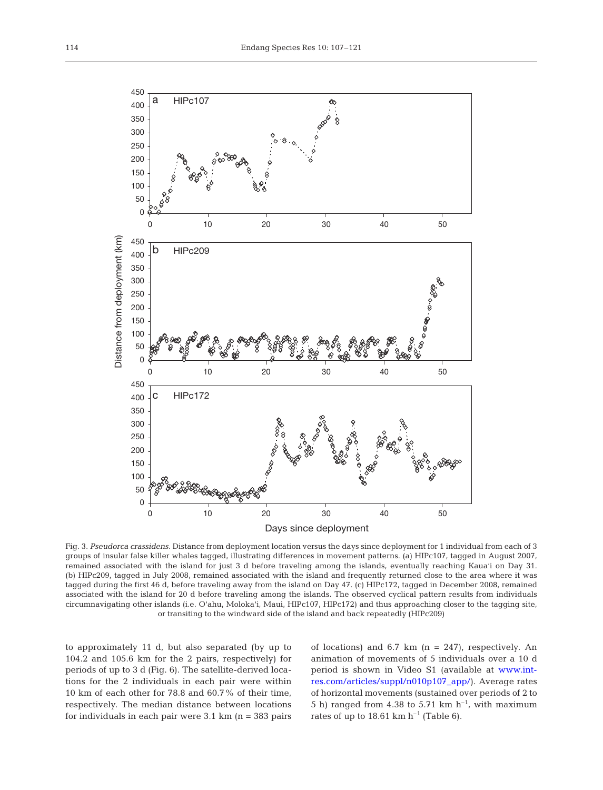

Fig. 3. *Pseudorca crassidens.* Distance from deployment location versus the days since deployment for 1 individual from each of 3 groups of insular false killer whales tagged, illustrating differences in movement patterns. (a) HIPc107, tagged in August 2007, remained associated with the island for just 3 d before traveling among the islands, eventually reaching Kaua'i on Day 31. (b) HIPc209, tagged in July 2008, remained associated with the island and frequently returned close to the area where it was tagged during the first 46 d, before traveling away from the island on Day 47. (c) HIPc172, tagged in December 2008, remained associated with the island for 20 d before traveling among the islands. The observed cyclical pattern results from individuals circumnavigating other islands (i.e. O'ahu, Moloka'i, Maui, HIPc107, HIPc172) and thus approaching closer to the tagging site, or transiting to the windward side of the island and back repeatedly (HIPc209)

to approximately 11 d, but also separated (by up to 104.2 and 105.6 km for the 2 pairs, respectively) for periods of up to 3 d (Fig. 6). The satellite-derived locations for the 2 individuals in each pair were within 10 km of each other for 78.8 and 60.7% of their time, respectively. The median distance between locations for individuals in each pair were  $3.1 \text{ km}$  (n = 383 pairs) of locations) and 6.7 km  $(n = 247)$ , respectively. An animation of movements of 5 individuals over a 10 d period is shown in Video S1 (available at [www.int](http://www.int-res.com/articles/suppl/n010p107_app/)[res.com/articles/suppl/n010p107\\_app/\)](http://www.int-res.com/articles/suppl/n010p107_app/). Average rates of horizontal movements (sustained over periods of 2 to 5 h) ranged from 4.38 to 5.71 km  $h^{-1}$ , with maximum rates of up to 18.61 km  $h^{-1}$  (Table 6).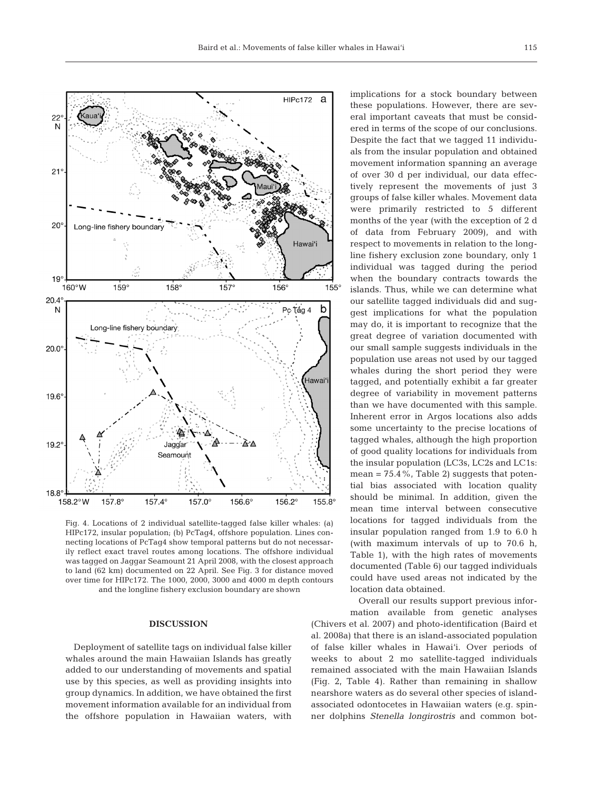

Fig. 4. Locations of 2 individual satellite-tagged false killer whales: (a) HIPc172, insular population; (b) PcTag4, offshore population. Lines connecting locations of PcTag4 show temporal patterns but do not necessarily reflect exact travel routes among locations. The offshore individual was tagged on Jaggar Seamount 21 April 2008, with the closest approach to land (62 km) documented on 22 April. See Fig. 3 for distance moved over time for HIPc172. The 1000, 2000, 3000 and 4000 m depth contours and the longline fishery exclusion boundary are shown

### **DISCUSSION**

Deployment of satellite tags on individual false killer whales around the main Hawaiian Islands has greatly added to our understanding of movements and spatial use by this species, as well as providing insights into group dynamics. In addition, we have obtained the first movement information available for an individual from the offshore population in Hawaiian waters, with

implications for a stock boundary between these populations. However, there are several important caveats that must be considered in terms of the scope of our conclusions. Despite the fact that we tagged 11 individuals from the insular population and obtained movement information spanning an average of over 30 d per individual, our data effectively represent the movements of just 3 groups of false killer whales. Movement data were primarily restricted to 5 different months of the year (with the exception of 2 d of data from February 2009), and with respect to movements in relation to the longline fishery exclusion zone boundary, only 1 individual was tagged during the period when the boundary contracts towards the islands. Thus, while we can determine what our satellite tagged individuals did and suggest implications for what the population may do, it is important to recognize that the great degree of variation documented with our small sample suggests individuals in the population use areas not used by our tagged whales during the short period they were tagged, and potentially exhibit a far greater degree of variability in movement patterns than we have documented with this sample. Inherent error in Argos locations also adds some uncertainty to the precise locations of tagged whales, although the high proportion of good quality locations for individuals from the insular population (LC3s, LC2s and LC1s: mean =  $75.4\%$ , Table 2) suggests that potential bias associated with location quality should be minimal. In addition, given the mean time interval between consecutive locations for tagged individuals from the insular population ranged from 1.9 to 6.0 h (with maximum intervals of up to 70.6 h, Table 1), with the high rates of movements documented (Table 6) our tagged individuals could have used areas not indicated by the location data obtained.

Overall our results support previous information available from genetic analyses (Chivers et al. 2007) and photo-identification (Baird et al. 2008a) that there is an island-associated population of false killer whales in Hawai'i. Over periods of weeks to about 2 mo satellite-tagged individuals remained associated with the main Hawaiian Islands (Fig. 2, Table 4). Rather than remaining in shallow nearshore waters as do several other species of islandassociated odontocetes in Hawaiian waters (e.g. spinner dolphins *Stenella longirostris* and common bot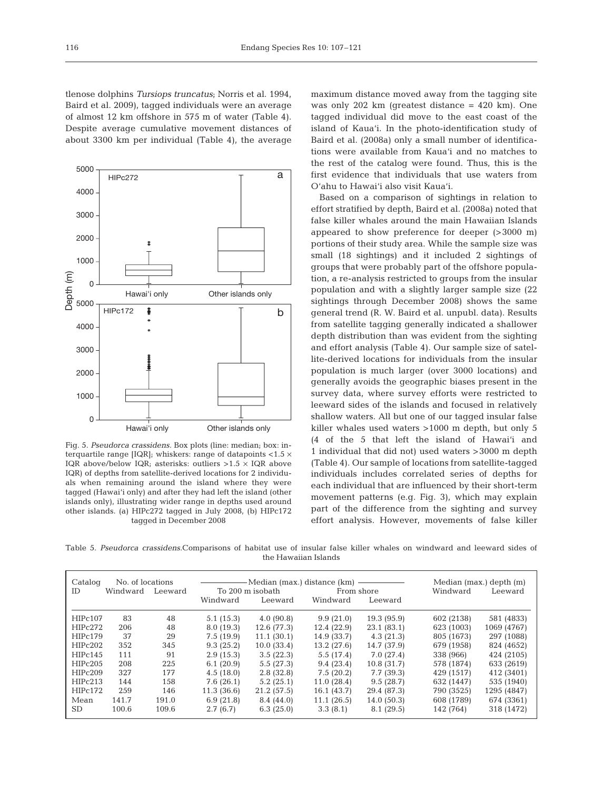tlenose dolphins *Tursiops truncatus*; Norris et al. 1994, Baird et al. 2009), tagged individuals were an average of almost 12 km offshore in 575 m of water (Table 4). Despite average cumulative movement distances of about 3300 km per individual (Table 4), the average



Fig. 5. *Pseudorca crassidens.* Box plots (line: median; box: interquartile range [IQR]; whiskers: range of datapoints  $<$ 1.5  $\times$ IQR above/below IQR; asterisks: outliers  $>1.5 \times$  IQR above IQR) of depths from satellite-derived locations for 2 individuals when remaining around the island where they were tagged (Hawai'i only) and after they had left the island (other islands only), illustrating wider range in depths used around other islands. (a) HIPc272 tagged in July 2008, (b) HIPc172 tagged in December 2008

maximum distance moved away from the tagging site was only 202 km (greatest distance = 420 km). One tagged individual did move to the east coast of the island of Kaua'i. In the photo-identification study of Baird et al. (2008a) only a small number of identifications were available from Kaua'i and no matches to the rest of the catalog were found. Thus, this is the first evidence that individuals that use waters from O'ahu to Hawai'i also visit Kaua'i.

Based on a comparison of sightings in relation to effort stratified by depth, Baird et al. (2008a) noted that false killer whales around the main Hawaiian Islands appeared to show preference for deeper (>3000 m) portions of their study area. While the sample size was small (18 sightings) and it included 2 sightings of groups that were probably part of the offshore population, a re-analysis restricted to groups from the insular population and with a slightly larger sample size (22 sightings through December 2008) shows the same general trend (R. W. Baird et al. unpubl. data). Results from satellite tagging generally indicated a shallower depth distribution than was evident from the sighting and effort analysis (Table 4). Our sample size of satellite-derived locations for individuals from the insular population is much larger (over 3000 locations) and generally avoids the geographic biases present in the survey data, where survey efforts were restricted to leeward sides of the islands and focused in relatively shallow waters. All but one of our tagged insular false killer whales used waters >1000 m depth, but only 5 (4 of the 5 that left the island of Hawai'i and 1 individual that did not) used waters >3000 m depth (Table 4). Our sample of locations from satellite-tagged individuals includes correlated series of depths for each individual that are influenced by their short-term movement patterns (e.g. Fig. 3), which may explain part of the difference from the sighting and survey effort analysis. However, movements of false killer

Table 5. *Pseudorca crassidens.*Comparisons of habitat use of insular false killer whales on windward and leeward sides of the Hawaiian Islands

| No. of locations<br>Catalog<br>Windward<br>ID<br>Leeward |       |       | To 200 m isobath | - Median (max.) distance (km) ——————<br>From shore |             | Windward    | Median (max.) depth (m)<br>Leeward |             |
|----------------------------------------------------------|-------|-------|------------------|----------------------------------------------------|-------------|-------------|------------------------------------|-------------|
|                                                          |       |       | Windward         | Leeward                                            | Windward    | Leeward     |                                    |             |
| HIPc107                                                  | 83    | 48    | 5.1(15.3)        | 4.0(90.8)                                          | 9.9(21.0)   | 19.3(95.9)  | 602 (2138)                         | 581 (4833)  |
| HIPc272                                                  | 206   | 48    | 8.0(19.3)        | 12.6(77.3)                                         | 12.4 (22.9) | 23.1(83.1)  | 623 (1003)                         | 1069 (4767) |
| HIP <sub>c</sub> 179                                     | 37    | 29    | 7.5(19.9)        | 11.1(30.1)                                         | 14.9(33.7)  | 4.3(21.3)   | 805 (1673)                         | 297 (1088)  |
| HIPc202                                                  | 352   | 345   | 9.3(25.2)        | 10.0(33.4)                                         | 13.2(27.6)  | 14.7 (37.9) | 679 (1958)                         | 824 (4652)  |
| HIPc145                                                  | 111   | 91    | 2.9(15.3)        | 3.5(22.3)                                          | 5.5(17.4)   | 7.0(27.4)   | 338 (966)                          | 424 (2105)  |
| HIPc205                                                  | 208   | 225   | 6.1(20.9)        | 5.5(27.3)                                          | 9.4(23.4)   | 10.8(31.7)  | 578 (1874)                         | 633 (2619)  |
| HIPc209                                                  | 327   | 177   | 4.5(18.0)        | 2.8(32.8)                                          | 7.5(20.2)   | 7.7(39.3)   | 429 (1517)                         | 412 (3401)  |
| HIPc213                                                  | 144   | 158   | 7.6(26.1)        | 5.2(25.1)                                          | 11.0(28.4)  | 9.5(28.7)   | 632 (1447)                         | 535 (1940)  |
| HIPc172                                                  | 259   | 146   | 11.3(36.6)       | 21.2(57.5)                                         | 16.1(43.7)  | 29.4 (87.3) | 790 (3525)                         | 1295 (4847) |
| Mean                                                     | 141.7 | 191.0 | 6.9(21.8)        | 8.4(44.0)                                          | 11.1(26.5)  | 14.0(50.3)  | 608 (1789)                         | 674 (3361)  |
| <b>SD</b>                                                | 100.6 | 109.6 | 2.7(6.7)         | 6.3(25.0)                                          | 3.3(8.1)    | 8.1(29.5)   | 142 (764)                          | 318 (1472)  |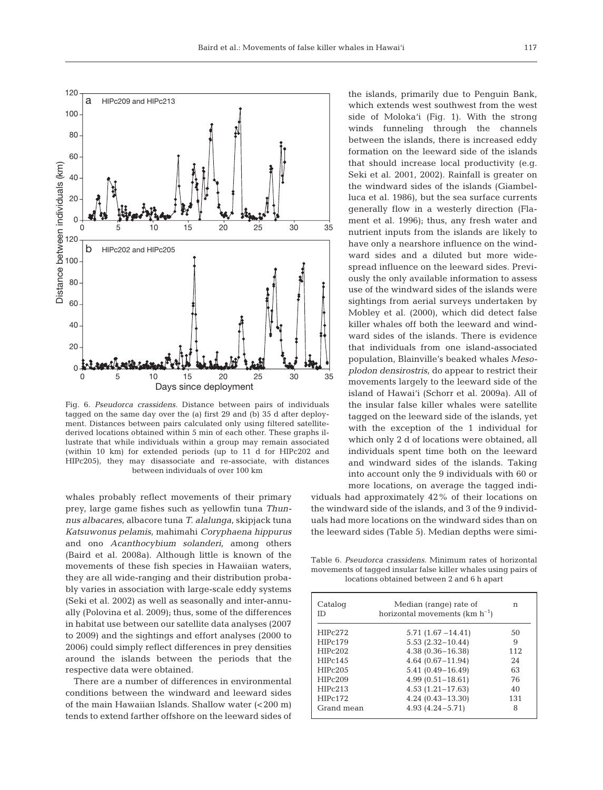

Fig. 6. *Pseudorca crassidens.* Distance between pairs of individuals tagged on the same day over the (a) first 29 and (b) 35 d after deployment. Distances between pairs calculated only using filtered satellitederived locations obtained within 5 min of each other. These graphs illustrate that while individuals within a group may remain associated (within 10 km) for extended periods (up to 11 d for HIPc202 and HIPc205), they may disassociate and re-associate, with distances between individuals of over 100 km

whales probably reflect movements of their primary prey, large game fishes such as yellowfin tuna *Thunnus albacares*, albacore tuna *T. alalunga*, skipjack tuna *Katsuwonus pelamis*, mahimahi *Coryphaena hippurus* and ono *Acanthocybium solanderi*, among others (Baird et al. 2008a). Although little is known of the movements of these fish species in Hawaiian waters, they are all wide-ranging and their distribution probably varies in association with large-scale eddy systems (Seki et al. 2002) as well as seasonally and inter-annually (Polovina et al. 2009); thus, some of the differences in habitat use between our satellite data analyses (2007 to 2009) and the sightings and effort analyses (2000 to 2006) could simply reflect differences in prey densities around the islands between the periods that the respective data were obtained.

There are a number of differences in environmental conditions between the windward and leeward sides of the main Hawaiian Islands. Shallow water (<200 m) tends to extend farther offshore on the leeward sides of

the islands, primarily due to Penguin Bank, which extends west southwest from the west side of Moloka'i (Fig. 1). With the strong winds funneling through the channels between the islands, there is increased eddy formation on the leeward side of the islands that should increase local productivity (e.g. Seki et al. 2001, 2002). Rainfall is greater on the windward sides of the islands (Giambelluca et al. 1986), but the sea surface currents generally flow in a westerly direction (Flament et al. 1996); thus, any fresh water and nutrient inputs from the islands are likely to have only a nearshore influence on the windward sides and a diluted but more widespread influence on the leeward sides. Previously the only available information to assess use of the windward sides of the islands were sightings from aerial surveys undertaken by Mobley et al. (2000), which did detect false killer whales off both the leeward and windward sides of the islands. There is evidence that individuals from one island-associated population, Blainville's beaked whales *Mesoplodon densirostris*, do appear to restrict their movements largely to the leeward side of the island of Hawai'i (Schorr et al. 2009a). All of the insular false killer whales were satellite tagged on the leeward side of the islands, yet with the exception of the 1 individual for which only 2 d of locations were obtained, all individuals spent time both on the leeward and windward sides of the islands. Taking into account only the 9 individuals with 60 or more locations, on average the tagged indi-

viduals had approximately 42% of their locations on the windward side of the islands, and 3 of the 9 individuals had more locations on the windward sides than on the leeward sides (Table 5). Median depths were simi-

Table 6. *Pseudorca crassidens.* Minimum rates of horizontal movements of tagged insular false killer whales using pairs of locations obtained between 2 and 6 h apart

| Catalog<br>ID | Median (range) rate of<br>horizontal movements $(km h^{-1})$ | n   |
|---------------|--------------------------------------------------------------|-----|
| HIPc272       | $5.71(1.67 - 14.41)$                                         | 50  |
| HIPc179       | $5.53(2.32 - 10.44)$                                         | 9   |
| HIPc202       | $4.38(0.36 - 16.38)$                                         | 112 |
| HIPc145       | $4.64(0.67 - 11.94)$                                         | 24  |
| HIPc205       | $5.41(0.49 - 16.49)$                                         | 63  |
| HIPc209       | $4.99(0.51 - 18.61)$                                         | 76  |
| HIPc213       | $4.53(1.21 - 17.63)$                                         | 40  |
| HIPc172       | $4.24(0.43 - 13.30)$                                         | 131 |
| Grand mean    | $4.93(4.24 - 5.71)$                                          | 8   |
|               |                                                              |     |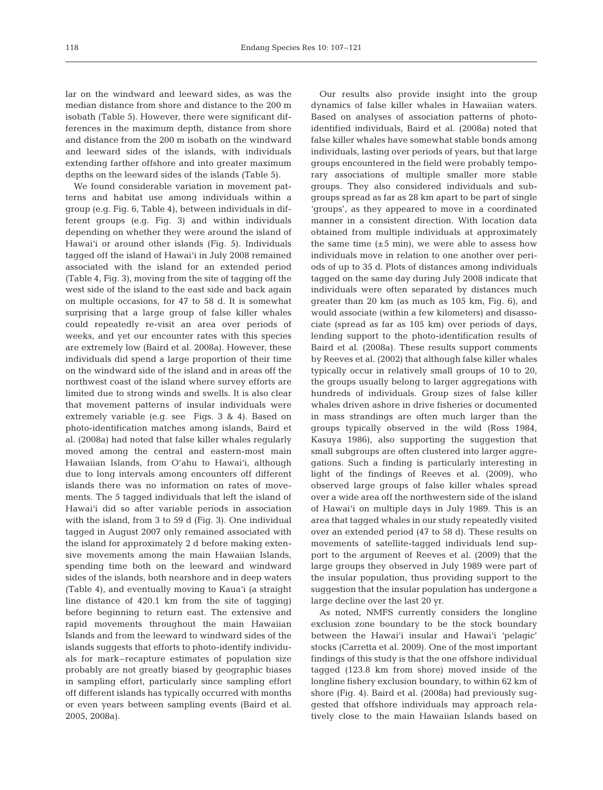lar on the windward and leeward sides, as was the median distance from shore and distance to the 200 m isobath (Table 5). However, there were significant differences in the maximum depth, distance from shore and distance from the 200 m isobath on the windward and leeward sides of the islands, with individuals extending farther offshore and into greater maximum depths on the leeward sides of the islands (Table 5).

We found considerable variation in movement patterns and habitat use among individuals within a group (e.g. Fig. 6, Table 4), between individuals in different groups (e.g. Fig. 3) and within individuals depending on whether they were around the island of Hawai'i or around other islands (Fig. 5). Individuals tagged off the island of Hawai'i in July 2008 remained associated with the island for an extended period (Table 4, Fig. 3), moving from the site of tagging off the west side of the island to the east side and back again on multiple occasions, for 47 to 58 d. It is somewhat surprising that a large group of false killer whales could repeatedly re-visit an area over periods of weeks, and yet our encounter rates with this species are extremely low (Baird et al. 2008a). However, these individuals did spend a large proportion of their time on the windward side of the island and in areas off the northwest coast of the island where survey efforts are limited due to strong winds and swells. It is also clear that movement patterns of insular individuals were extremely variable (e.g. see Figs. 3 & 4). Based on photo-identification matches among islands, Baird et al. (2008a) had noted that false killer whales regularly moved among the central and eastern-most main Hawaiian Islands, from O'ahu to Hawai'i, although due to long intervals among encounters off different islands there was no information on rates of movements. The 5 tagged individuals that left the island of Hawai'i did so after variable periods in association with the island, from 3 to 59 d (Fig. 3). One individual tagged in August 2007 only remained associated with the island for approximately 2 d before making extensive movements among the main Hawaiian Islands, spending time both on the leeward and windward sides of the islands, both nearshore and in deep waters (Table 4), and eventually moving to Kaua'i (a straight line distance of 420.1 km from the site of tagging) before beginning to return east. The extensive and rapid movements throughout the main Hawaiian Islands and from the leeward to windward sides of the islands suggests that efforts to photo-identify individuals for mark–recapture estimates of population size probably are not greatly biased by geographic biases in sampling effort, particularly since sampling effort off different islands has typically occurred with months or even years between sampling events (Baird et al. 2005, 2008a).

Our results also provide insight into the group dynamics of false killer whales in Hawaiian waters. Based on analyses of association patterns of photoidentified individuals, Baird et al. (2008a) noted that false killer whales have somewhat stable bonds among individuals, lasting over periods of years, but that large groups encountered in the field were probably temporary associations of multiple smaller more stable groups. They also considered individuals and subgroups spread as far as 28 km apart to be part of single 'groups', as they appeared to move in a coordinated manner in a consistent direction. With location data obtained from multiple individuals at approximately the same time  $(\pm 5 \text{ min})$ , we were able to assess how individuals move in relation to one another over periods of up to 35 d. Plots of distances among individuals tagged on the same day during July 2008 indicate that individuals were often separated by distances much greater than 20 km (as much as 105 km, Fig. 6), and would associate (within a few kilometers) and disassociate (spread as far as 105 km) over periods of days, lending support to the photo-identification results of Baird et al. (2008a). These results support comments by Reeves et al. (2002) that although false killer whales typically occur in relatively small groups of 10 to 20, the groups usually belong to larger aggregations with hundreds of individuals. Group sizes of false killer whales driven ashore in drive fisheries or documented in mass strandings are often much larger than the groups typically observed in the wild (Ross 1984, Kasuya 1986), also supporting the suggestion that small subgroups are often clustered into larger aggregations. Such a finding is particularly interesting in light of the findings of Reeves et al. (2009), who observed large groups of false killer whales spread over a wide area off the northwestern side of the island of Hawai'i on multiple days in July 1989. This is an area that tagged whales in our study repeatedly visited over an extended period (47 to 58 d). These results on movements of satellite-tagged individuals lend support to the argument of Reeves et al. (2009) that the large groups they observed in July 1989 were part of the insular population, thus providing support to the suggestion that the insular population has undergone a large decline over the last 20 yr.

As noted, NMFS currently considers the longline exclusion zone boundary to be the stock boundary between the Hawai'i insular and Hawai'i 'pelagic' stocks (Carretta et al. 2009). One of the most important findings of this study is that the one offshore individual tagged (123.8 km from shore) moved inside of the longline fishery exclusion boundary, to within 62 km of shore (Fig. 4). Baird et al. (2008a) had previously suggested that offshore individuals may approach relatively close to the main Hawaiian Islands based on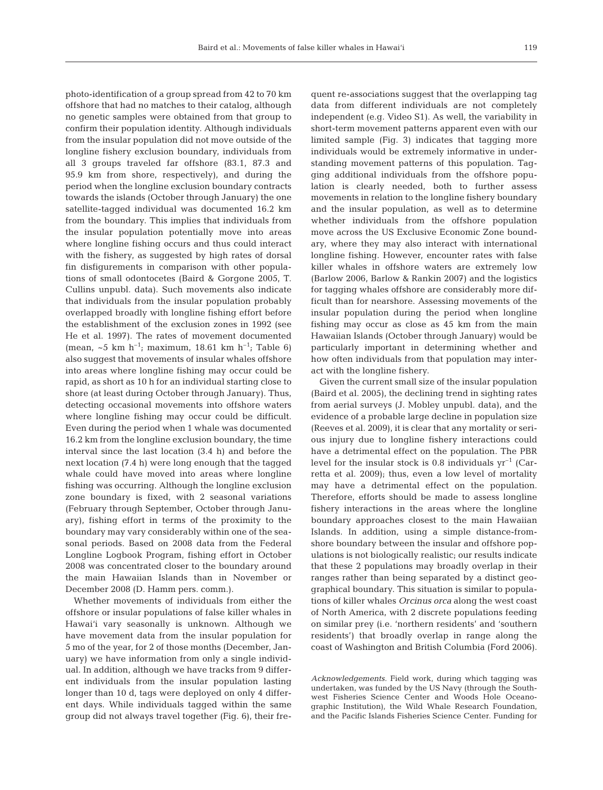119

photo-identification of a group spread from 42 to 70 km offshore that had no matches to their catalog, although no genetic samples were obtained from that group to confirm their population identity. Although individuals from the insular population did not move outside of the longline fishery exclusion boundary, individuals from all 3 groups traveled far offshore (83.1, 87.3 and 95.9 km from shore, respectively), and during the period when the longline exclusion boundary contracts towards the islands (October through January) the one satellite-tagged individual was documented 16.2 km from the boundary. This implies that individuals from the insular population potentially move into areas where longline fishing occurs and thus could interact with the fishery, as suggested by high rates of dorsal fin disfigurements in comparison with other populations of small odontocetes (Baird & Gorgone 2005, T. Cullins unpubl. data). Such movements also indicate that individuals from the insular population probably overlapped broadly with longline fishing effort before the establishment of the exclusion zones in 1992 (see He et al. 1997). The rates of movement documented (mean, ~5 km h<sup>-1</sup>; maximum, 18.61 km h<sup>-1</sup>; Table 6) also suggest that movements of insular whales offshore into areas where longline fishing may occur could be rapid, as short as 10 h for an individual starting close to shore (at least during October through January). Thus, detecting occasional movements into offshore waters where longline fishing may occur could be difficult. Even during the period when 1 whale was documented 16.2 km from the longline exclusion boundary, the time interval since the last location (3.4 h) and before the next location (7.4 h) were long enough that the tagged whale could have moved into areas where longline fishing was occurring. Although the longline exclusion zone boundary is fixed, with 2 seasonal variations (February through September, October through January), fishing effort in terms of the proximity to the boundary may vary considerably within one of the seasonal periods. Based on 2008 data from the Federal Longline Logbook Program, fishing effort in October 2008 was concentrated closer to the boundary around the main Hawaiian Islands than in November or December 2008 (D. Hamm pers. comm.).

Whether movements of individuals from either the offshore or insular populations of false killer whales in Hawai'i vary seasonally is unknown. Although we have movement data from the insular population for 5 mo of the year, for 2 of those months (December, January) we have information from only a single individual. In addition, although we have tracks from 9 different individuals from the insular population lasting longer than 10 d, tags were deployed on only 4 different days. While individuals tagged within the same group did not always travel together (Fig. 6), their frequent re-associations suggest that the overlapping tag data from different individuals are not completely independent (e.g. Video S1). As well, the variability in short-term movement patterns apparent even with our limited sample (Fig. 3) indicates that tagging more individuals would be extremely informative in understanding movement patterns of this population. Tagging additional individuals from the offshore population is clearly needed, both to further assess movements in relation to the longline fishery boundary and the insular population, as well as to determine whether individuals from the offshore population move across the US Exclusive Economic Zone boundary, where they may also interact with international longline fishing. However, encounter rates with false killer whales in offshore waters are extremely low (Barlow 2006, Barlow & Rankin 2007) and the logistics for tagging whales offshore are considerably more difficult than for nearshore. Assessing movements of the insular population during the period when longline fishing may occur as close as 45 km from the main Hawaiian Islands (October through January) would be particularly important in determining whether and how often individuals from that population may interact with the longline fishery.

Given the current small size of the insular population (Baird et al. 2005), the declining trend in sighting rates from aerial surveys (J. Mobley unpubl. data), and the evidence of a probable large decline in population size (Reeves et al. 2009), it is clear that any mortality or serious injury due to longline fishery interactions could have a detrimental effect on the population. The PBR level for the insular stock is 0.8 individuals  $yr^{-1}$  (Carretta et al. 2009); thus, even a low level of mortality may have a detrimental effect on the population. Therefore, efforts should be made to assess longline fishery interactions in the areas where the longline boundary approaches closest to the main Hawaiian Islands. In addition, using a simple distance-fromshore boundary between the insular and offshore populations is not biologically realistic; our results indicate that these 2 populations may broadly overlap in their ranges rather than being separated by a distinct geographical boundary. This situation is similar to populations of killer whales *Orcinus orca* along the west coast of North America, with 2 discrete populations feeding on similar prey (i.e. 'northern residents' and 'southern residents') that broadly overlap in range along the coast of Washington and British Columbia (Ford 2006).

*Acknowledgements.* Field work, during which tagging was undertaken, was funded by the US Navy (through the Southwest Fisheries Science Center and Woods Hole Oceanographic Institution), the Wild Whale Research Foundation, and the Pacific Islands Fisheries Science Center. Funding for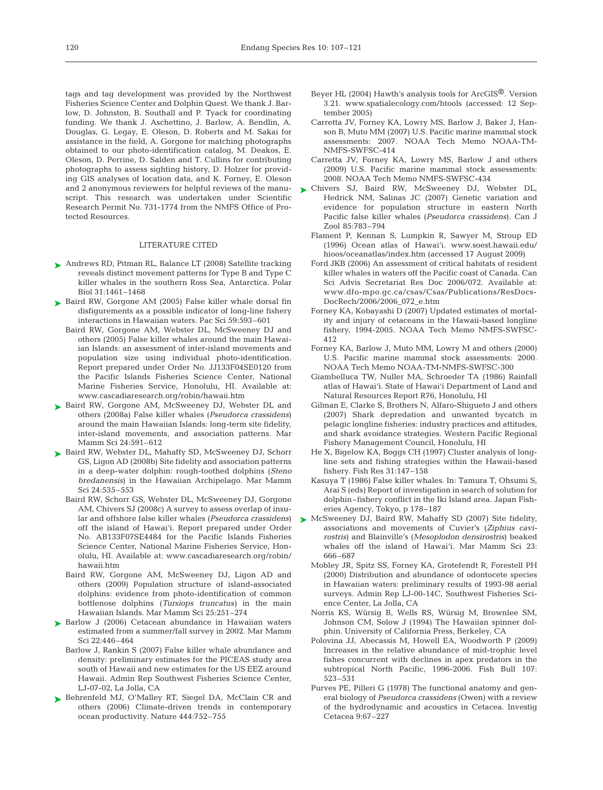tags and tag development was provided by the Northwest Fisheries Science Center and Dolphin Quest. We thank J. Barlow, D. Johnston, B. Southall and P. Tyack for coordinating funding. We thank J. Aschettino, J. Barlow, A. Bendlin, A. Douglas, G. Legay, E. Oleson, D. Roberts and M. Sakai for assistance in the field, A. Gorgone for matching photographs obtained to our photo-identification catalog, M. Deakos, E. Oleson, D. Perrine, D. Salden and T. Cullins for contributing photographs to assess sighting history, D. Holzer for providing GIS analyses of location data, and K. Forney, E. Oleson and 2 anonymous reviewers for helpful reviews of the manuscript. This research was undertaken under Scientific Research Permit No. 731-1774 from the NMFS Office of Protected Resources.

#### LITERATURE CITED

- ► Andrews RD, Pitman RL, Balance LT (2008) Satellite tracking reveals distinct movement patterns for Type B and Type C killer whales in the southern Ross Sea, Antarctica. Polar Biol 31:1461–1468
- ► Baird RW, Gorgone AM (2005) False killer whale dorsal fin disfigurements as a possible indicator of long-line fishery interactions in Hawaiian waters. Pac Sci 59:593–601
	- Baird RW, Gorgone AM, Webster DL, McSweeney DJ and others (2005) False killer whales around the main Hawaiian Islands: an assessment of inter-island movements and population size using individual photo-identification. Report prepared under Order No. JJ133F04SE0120 from the Pacific Islands Fisheries Science Center, National Marine Fisheries Service, Honolulu, HI. Available at: www.cascadiaresearch.org/robin/hawaii.htm
- ▶ Baird RW, Gorgone AM, McSweeney DJ, Webster DL and others (2008a) False killer whales (*Pseudorca crassidens*) around the main Hawaiian Islands: long-term site fidelity, inter-island movements, and association patterns. Mar Mamm Sci 24:591–612
- ► Baird RW, Webster DL, Mahaffy SD, McSweeney DJ, Schorr GS, Ligon AD (2008b) Site fidelity and association patterns in a deep-water dolphin: rough-toothed dolphins (*Steno bredanensis*) in the Hawaiian Archipelago. Mar Mamm Sci 24:535–553
	- Baird RW, Schorr GS, Webster DL, McSweeney DJ, Gorgone AM, Chivers SJ (2008c) A survey to assess overlap of insular and offshore false killer whales (*Pseudorca crassidens*) off the island of Hawai'i. Report prepared under Order No. AB133F07SE4484 for the Pacific Islands Fisheries Science Center, National Marine Fisheries Service, Honolulu, HI. Available at: www.cascadiaresearch.org/robin/ hawaii.htm
	- Baird RW, Gorgone AM, McSweeney DJ, Ligon AD and others (2009) Population structure of island-associated dolphins: evidence from photo-identification of common bottlenose dolphins (*Tursiops truncatus)* in the main Hawaiian Islands. Mar Mamm Sci 25:251–274
- ▶ Barlow J (2006) Cetacean abundance in Hawaiian waters estimated from a summer/fall survey in 2002. Mar Mamm Sci 22:446–464
	- Barlow J, Rankin S (2007) False killer whale abundance and density: preliminary estimates for the PICEAS study area south of Hawaii and new estimates for the US EEZ around Hawaii. Admin Rep Southwest Fisheries Science Center, LJ-07-02, La Jolla, CA
- ▶ Behrenfeld MJ, O'Malley RT, Siegel DA, McClain CR and others (2006) Climate-driven trends in contemporary ocean productivity. Nature 444:752–755
- Beyer HL (2004) Hawth's analysis tools for ArcGIS®. Version 3.21. www.spatialecology.com/htools (accessed: 12 September 2005)
- Carretta JV, Forney KA, Lowry MS, Barlow J, Baker J, Hanson B, Muto MM (2007) U.S. Pacific marine mammal stock assessments: 2007. NOAA Tech Memo NOAA-TM-NMFS-SWFSC-414
- Carretta JV, Forney KA, Lowry MS, Barlow J and others (2009) U.S. Pacific marine mammal stock assessments: 2008. NOAA Tech Memo NMFS-SWFSC-434
- ► Chivers SJ, Baird RW, McSweeney DJ, Webster DL, Hedrick NM, Salinas JC (2007) Genetic variation and evidence for population structure in eastern North Pacific false killer whales (*Pseudorca crassidens*). Can J Zool 85:783–794
	- Flament P, Kennan S, Lumpkin R, Sawyer M, Stroup ED (1996) Ocean atlas of Hawai'i. www.soest.hawaii.edu/ hioos/oceanatlas/index.htm (accessed 17 August 2009)
	- Ford JKB (2006) An assessment of critical habitats of resident killer whales in waters off the Pacific coast of Canada. Can Sci Advis Secretariat Res Doc 2006/072. Available at: www.dfo-mpo.gc.ca/csas/Csas/Publications/ResDocs-DocRech/2006/2006\_072\_e.htm
	- Forney KA, Kobayashi D (2007) Updated estimates of mortality and injury of cetaceans in the Hawaii-based longline fishery, 1994-2005. NOAA Tech Memo NMFS-SWFSC-412
	- Forney KA, Barlow J, Muto MM, Lowry M and others (2000) U.S. Pacific marine mammal stock assessments: 2000. NOAA Tech Memo NOAA-TM-NMFS-SWFSC-300
	- Giambelluca TW, Nuller MA, Schroeder TA (1986) Rainfall atlas of Hawai'i. State of Hawai'i Department of Land and Natural Resources Report R76, Honolulu, HI
	- Gilman E, Clarke S, Brothers N, Alfaro-Shigueto J and others (2007) Shark depredation and unwanted bycatch in pelagic longline fisheries: industry practices and attitudes, and shark avoidance strategies. Western Pacific Regional Fishery Management Council, Honolulu, HI
	- He X, Bigelow KA, Boggs CH (1997) Cluster analysis of longline sets and fishing strategies within the Hawaii-based fishery. Fish Res 31:147–158
	- Kasuya T (1986) False killer whales. In: Tamura T, Ohsumi S, Arai S (eds) Report of investigation in search of solution for dolphin–fishery conflict in the Iki Island area. Japan Fisheries Agency, Tokyo, p 178–187
- ► McSweeney DJ, Baird RW, Mahaffy SD (2007) Site fidelity, associations and movements of Cuvier's (*Ziphius cavirostris*) and Blainville's (*Mesoplodon densirostris*) beaked whales off the island of Hawai'i. Mar Mamm Sci 23: 666–687
	- Mobley JR, Spitz SS, Forney KA, Grotefendt R, Forestell PH (2000) Distribution and abundance of odontocete species in Hawaiian waters: preliminary results of 1993-98 aerial surveys. Admin Rep LJ-00-14C, Southwest Fisheries Science Center, La Jolla, CA
	- Norris KS, Würsig B, Wells RS, Würsig M, Brownlee SM, Johnson CM, Solow J (1994) The Hawaiian spinner dolphin. University of California Press, Berkeley, CA
	- Polovina JJ, Abecassis M, Howell EA, Woodworth P (2009) Increases in the relative abundance of mid-trophic level fishes concurrent with declines in apex predators in the subtropical North Pacific, 1996-2006. Fish Bull 107: 523–531
	- Purves PE, Pilleri G (1978) The functional anatomy and general biology of *Pseudorca crassidens* (Owen) with a review of the hydrodynamic and acoustics in Cetacea. Investig Cetacea 9:67–227